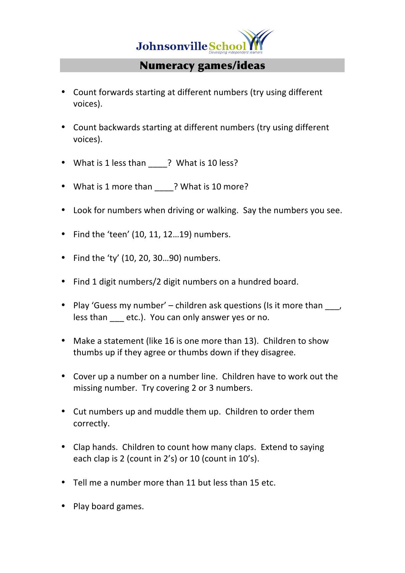

## Numeracy games/ideas

- Count forwards starting at different numbers (try using different voices).
- Count backwards starting at different numbers (try using different voices).
- What is 1 less than ? What is 10 less?
- What is 1 more than \_\_\_\_? What is 10 more?
- Look for numbers when driving or walking. Say the numbers you see.
- Find the 'teen'  $(10, 11, 12...19)$  numbers.
- Find the 'ty'  $(10, 20, 30...90)$  numbers.
- Find 1 digit numbers/2 digit numbers on a hundred board.
- Play 'Guess my number' children ask questions (Is it more than  $\qquad$ , less than etc.). You can only answer yes or no.
- Make a statement (like 16 is one more than 13). Children to show thumbs up if they agree or thumbs down if they disagree.
- Cover up a number on a number line. Children have to work out the missing number. Try covering 2 or 3 numbers.
- Cut numbers up and muddle them up. Children to order them correctly.
- Clap hands. Children to count how many claps. Extend to saying each clap is 2 (count in 2's) or 10 (count in 10's).
- Tell me a number more than 11 but less than 15 etc.
- Play board games.